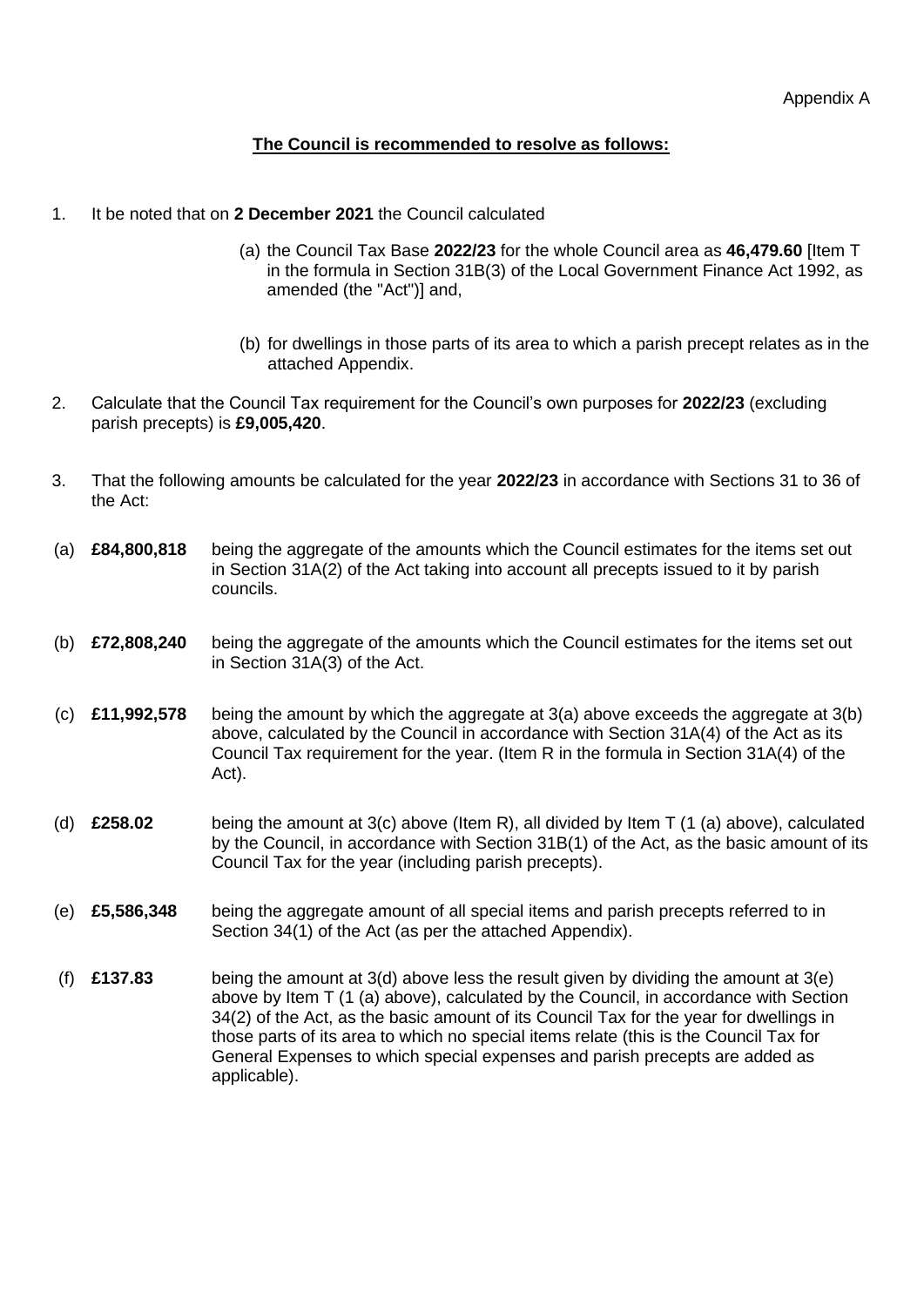## **The Council is recommended to resolve as follows:**

- 1. It be noted that on **2 December 2021** the Council calculated
	- (a) the Council Tax Base **2022/23** for the whole Council area as **46,479.60** [Item T in the formula in Section 31B(3) of the Local Government Finance Act 1992, as amended (the "Act")] and,
	- (b) for dwellings in those parts of its area to which a parish precept relates as in the attached Appendix.
- 2. Calculate that the Council Tax requirement for the Council's own purposes for **2022/23** (excluding parish precepts) is **£9,005,420**.
- 3. That the following amounts be calculated for the year **2022/23** in accordance with Sections 31 to 36 of the Act:
- (a) **£84,800,818** being the aggregate of the amounts which the Council estimates for the items set out in Section 31A(2) of the Act taking into account all precepts issued to it by parish councils.
- (b) **£72,808,240** being the aggregate of the amounts which the Council estimates for the items set out in Section 31A(3) of the Act.
- (c) **£11,992,578** being the amount by which the aggregate at 3(a) above exceeds the aggregate at 3(b) above, calculated by the Council in accordance with Section 31A(4) of the Act as its Council Tax requirement for the year. (Item R in the formula in Section 31A(4) of the Act).
- (d) **£258.02** being the amount at 3(c) above (Item R), all divided by Item T (1 (a) above), calculated by the Council, in accordance with Section 31B(1) of the Act, as the basic amount of its Council Tax for the year (including parish precepts).
- (e) **£5,586,348** being the aggregate amount of all special items and parish precepts referred to in Section 34(1) of the Act (as per the attached Appendix).
- (f) **£137.83** being the amount at 3(d) above less the result given by dividing the amount at 3(e) above by Item T (1 (a) above), calculated by the Council, in accordance with Section 34(2) of the Act, as the basic amount of its Council Tax for the year for dwellings in those parts of its area to which no special items relate (this is the Council Tax for General Expenses to which special expenses and parish precepts are added as applicable).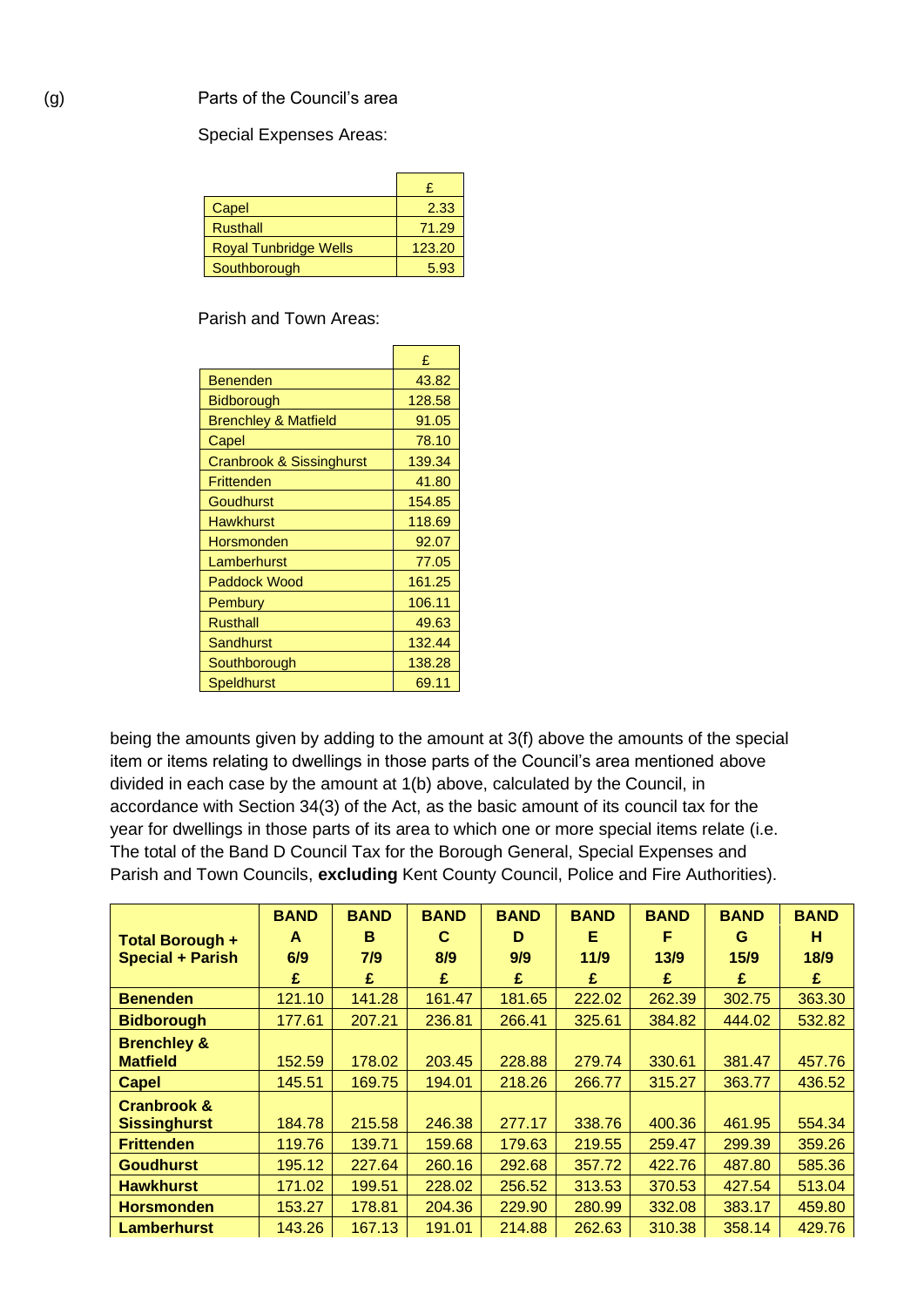## Special Expenses Areas:

| Capel                        | 2.33   |
|------------------------------|--------|
| <b>Rusthall</b>              | 71.29  |
| <b>Royal Tunbridge Wells</b> | 123.20 |
| Southborough                 | 5.93   |

Parish and Town Areas:

|                                 | £      |
|---------------------------------|--------|
| Benenden                        | 43.82  |
| <b>Bidborough</b>               | 128.58 |
| <b>Brenchley &amp; Matfield</b> | 91.05  |
| Capel                           | 78.10  |
| Cranbrook & Sissinghurst        | 139.34 |
| Frittenden                      | 41.80  |
| Goudhurst                       | 154.85 |
| <b>Hawkhurst</b>                | 118.69 |
| Horsmonden                      | 92.07  |
| Lamberhurst                     | 77.05  |
| <b>Paddock Wood</b>             | 161.25 |
| Pembury                         | 106.11 |
| <b>Rusthall</b>                 | 49.63  |
| Sandhurst                       | 132.44 |
| Southborough                    | 138.28 |
| <b>Speldhurst</b>               | 69.11  |

being the amounts given by adding to the amount at 3(f) above the amounts of the special item or items relating to dwellings in those parts of the Council's area mentioned above divided in each case by the amount at 1(b) above, calculated by the Council, in accordance with Section 34(3) of the Act, as the basic amount of its council tax for the year for dwellings in those parts of its area to which one or more special items relate (i.e. The total of the Band D Council Tax for the Borough General, Special Expenses and Parish and Town Councils, **excluding** Kent County Council, Police and Fire Authorities).

|                         | <b>BAND</b> | <b>BAND</b> | <b>BAND</b> | <b>BAND</b> | <b>BAND</b> | <b>BAND</b> | <b>BAND</b> | <b>BAND</b> |
|-------------------------|-------------|-------------|-------------|-------------|-------------|-------------|-------------|-------------|
| <b>Total Borough +</b>  | A           | в           | C           | D           | Е           | F           | G           | н           |
| <b>Special + Parish</b> | 6/9         | 7/9         | 8/9         | 9/9         | 11/9        | 13/9        | 15/9        | 18/9        |
|                         | £           | £           | £           | £           | £           | £           | £           | £           |
| <b>Benenden</b>         | 121.10      | 141.28      | 161.47      | 181.65      | 222.02      | 262.39      | 302.75      | 363.30      |
| <b>Bidborough</b>       | 177.61      | 207.21      | 236.81      | 266.41      | 325.61      | 384.82      | 444.02      | 532.82      |
| <b>Brenchley &amp;</b>  |             |             |             |             |             |             |             |             |
| <b>Matfield</b>         | 152.59      | 178.02      | 203.45      | 228.88      | 279.74      | 330.61      | 381.47      | 457.76      |
| <b>Capel</b>            | 145.51      | 169.75      | 194.01      | 218.26      | 266.77      | 315.27      | 363.77      | 436.52      |
| <b>Cranbrook &amp;</b>  |             |             |             |             |             |             |             |             |
| <b>Sissinghurst</b>     | 184.78      | 215.58      | 246.38      | 277.17      | 338.76      | 400.36      | 461.95      | 554.34      |
| <b>Frittenden</b>       | 119.76      | 139.71      | 159.68      | 179.63      | 219.55      | 259.47      | 299.39      | 359.26      |
| <b>Goudhurst</b>        | 195.12      | 227.64      | 260.16      | 292.68      | 357.72      | 422.76      | 487.80      | 585.36      |
| <b>Hawkhurst</b>        | 171.02      | 199.51      | 228.02      | 256.52      | 313.53      | 370.53      | 427.54      | 513.04      |
| <b>Horsmonden</b>       | 153.27      | 178.81      | 204.36      | 229.90      | 280.99      | 332.08      | 383.17      | 459.80      |
| Lamberhurst             | 143.26      | 167.13      | 191.01      | 214.88      | 262.63      | 310.38      | 358.14      | 429.76      |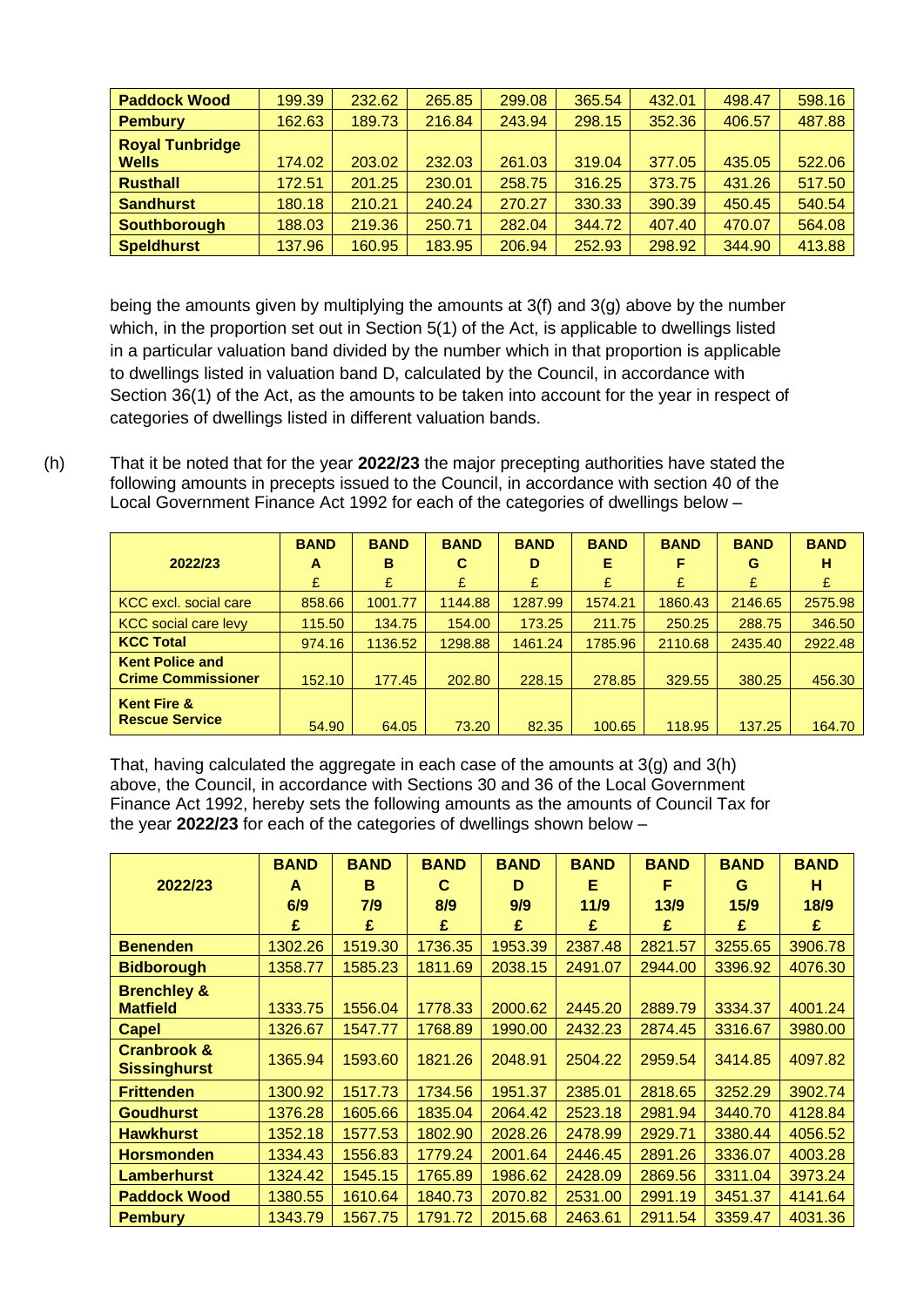| <b>Paddock Wood</b>    | 199.39 | 232.62 | 265.85 | 299.08 | 365.54 | 432.01 | 498.47 | 598.16 |
|------------------------|--------|--------|--------|--------|--------|--------|--------|--------|
| <b>Pembury</b>         | 162.63 | 189.73 | 216.84 | 243.94 | 298.15 | 352.36 | 406.57 | 487.88 |
| <b>Royal Tunbridge</b> |        |        |        |        |        |        |        |        |
| <b>Wells</b>           | 174.02 | 203.02 | 232.03 | 261.03 | 319.04 | 377.05 | 435.05 | 522.06 |
| <b>Rusthall</b>        | 172.51 | 201.25 | 230.01 | 258.75 | 316.25 | 373.75 | 431.26 | 517.50 |
| <b>Sandhurst</b>       | 180.18 | 210.21 | 240.24 | 270.27 | 330.33 | 390.39 | 450.45 | 540.54 |
| <b>Southborough</b>    | 188.03 | 219.36 | 250.71 | 282.04 | 344.72 | 407.40 | 470.07 | 564.08 |
| <b>Speldhurst</b>      | 137.96 | 160.95 | 183.95 | 206.94 | 252.93 | 298.92 | 344.90 | 413.88 |

being the amounts given by multiplying the amounts at 3(f) and 3(g) above by the number which, in the proportion set out in Section 5(1) of the Act, is applicable to dwellings listed in a particular valuation band divided by the number which in that proportion is applicable to dwellings listed in valuation band D, calculated by the Council, in accordance with Section 36(1) of the Act, as the amounts to be taken into account for the year in respect of categories of dwellings listed in different valuation bands.

(h) That it be noted that for the year **2022/23** the major precepting authorities have stated the following amounts in precepts issued to the Council, in accordance with section 40 of the Local Government Finance Act 1992 for each of the categories of dwellings below –

| 2022/23                                             | <b>BAND</b><br>A | <b>BAND</b><br>в | <b>BAND</b><br>С | <b>BAND</b><br>D | <b>BAND</b><br>Е | <b>BAND</b><br>F | <b>BAND</b><br>G | <b>BAND</b><br>н |
|-----------------------------------------------------|------------------|------------------|------------------|------------------|------------------|------------------|------------------|------------------|
|                                                     | £                | £                | £                | £                | £                | £                | £                | £                |
| KCC excl. social care                               | 858.66           | 1001.77          | 1144.88          | 1287.99          | 1574.21          | 1860.43          | 2146.65          | 2575.98          |
| <b>KCC</b> social care levy                         | 115.50           | 134.75           | 154.00           | 173.25           | 211.75           | 250.25           | 288.75           | 346.50           |
| <b>KCC Total</b>                                    | 974.16           | 1136.52          | 1298.88          | 1461.24          | 1785.96          | 2110.68          | 2435.40          | 2922.48          |
| <b>Kent Police and</b><br><b>Crime Commissioner</b> | 152.10           | 177.45           | 202.80           | 228.15           | 278.85           | 329.55           | 380.25           | 456.30           |
| <b>Kent Fire &amp;</b><br><b>Rescue Service</b>     | 54.90            | 64.05            | 73.20            | 82.35            | 100.65           | 118.95           | 137.25           | 164.70           |

That, having calculated the aggregate in each case of the amounts at 3(g) and 3(h) above, the Council, in accordance with Sections 30 and 36 of the Local Government Finance Act 1992, hereby sets the following amounts as the amounts of Council Tax for the year **2022/23** for each of the categories of dwellings shown below –

|                                               | <b>BAND</b> | <b>BAND</b> | <b>BAND</b> | <b>BAND</b> | <b>BAND</b> | <b>BAND</b> | <b>BAND</b> | <b>BAND</b> |
|-----------------------------------------------|-------------|-------------|-------------|-------------|-------------|-------------|-------------|-------------|
| 2022/23                                       | A           | в           | C           | D           | Е           | F           | G           | н           |
|                                               | 6/9         | 7/9         | 8/9         | 9/9         | 11/9        | 13/9        | 15/9        | 18/9        |
|                                               | £           | £           | £           | £           | £           | £           | £           | £           |
| <b>Benenden</b>                               | 1302.26     | 1519.30     | 1736.35     | 1953.39     | 2387.48     | 2821.57     | 3255.65     | 3906.78     |
| <b>Bidborough</b>                             | 1358.77     | 1585.23     | 1811.69     | 2038.15     | 2491.07     | 2944.00     | 3396.92     | 4076.30     |
| <b>Brenchley &amp;</b>                        |             |             |             |             |             |             |             |             |
| <b>Matfield</b>                               | 1333.75     | 1556.04     | 1778.33     | 2000.62     | 2445.20     | 2889.79     | 3334.37     | 4001.24     |
| <b>Capel</b>                                  | 1326.67     | 1547.77     | 1768.89     | 1990.00     | 2432.23     | 2874.45     | 3316.67     | 3980.00     |
| <b>Cranbrook &amp;</b><br><b>Sissinghurst</b> | 1365.94     | 1593.60     | 1821.26     | 2048.91     | 2504.22     | 2959.54     | 3414.85     | 4097.82     |
| <b>Frittenden</b>                             | 1300.92     | 1517.73     | 1734.56     | 1951.37     | 2385.01     | 2818.65     | 3252.29     | 3902.74     |
| <b>Goudhurst</b>                              | 1376.28     | 1605.66     | 1835.04     | 2064.42     | 2523.18     | 2981.94     | 3440.70     | 4128.84     |
| <b>Hawkhurst</b>                              | 1352.18     | 1577.53     | 1802.90     | 2028.26     | 2478.99     | 2929.71     | 3380.44     | 4056.52     |
| <b>Horsmonden</b>                             | 1334.43     | 1556.83     | 1779.24     | 2001.64     | 2446.45     | 2891.26     | 3336.07     | 4003.28     |
| <b>Lamberhurst</b>                            | 1324.42     | 1545.15     | 1765.89     | 1986.62     | 2428.09     | 2869.56     | 3311.04     | 3973.24     |
| <b>Paddock Wood</b>                           | 1380.55     | 1610.64     | 1840.73     | 2070.82     | 2531.00     | 2991.19     | 3451.37     | 4141.64     |
| <b>Pembury</b>                                | 1343.79     | 1567.75     | 1791.72     | 2015.68     | 2463.61     | 2911.54     | 3359.47     | 4031.36     |